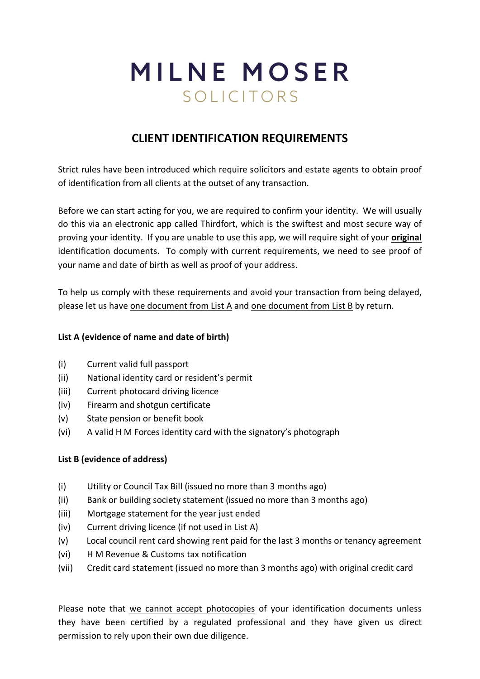## MILNE MOSER SOLICITORS

## **CLIENT IDENTIFICATION REQUIREMENTS**

Strict rules have been introduced which require solicitors and estate agents to obtain proof of identification from all clients at the outset of any transaction.

Before we can start acting for you, we are required to confirm your identity. We will usually do this via an electronic app called Thirdfort, which is the swiftest and most secure way of proving your identity. If you are unable to use this app, we will require sight of your **original** identification documents. To comply with current requirements, we need to see proof of your name and date of birth as well as proof of your address.

To help us comply with these requirements and avoid your transaction from being delayed, please let us have one document from List A and one document from List B by return.

## **List A (evidence of name and date of birth)**

- (i) Current valid full passport
- (ii) National identity card or resident's permit
- (iii) Current photocard driving licence
- (iv) Firearm and shotgun certificate
- (v) State pension or benefit book
- (vi) A valid H M Forces identity card with the signatory's photograph

## **List B (evidence of address)**

- (i) Utility or Council Tax Bill (issued no more than 3 months ago)
- (ii) Bank or building society statement (issued no more than 3 months ago)
- (iii) Mortgage statement for the year just ended
- (iv) Current driving licence (if not used in List A)
- (v) Local council rent card showing rent paid for the last 3 months or tenancy agreement
- (vi) H M Revenue & Customs tax notification
- (vii) Credit card statement (issued no more than 3 months ago) with original credit card

Please note that we cannot accept photocopies of your identification documents unless they have been certified by a regulated professional and they have given us direct permission to rely upon their own due diligence.